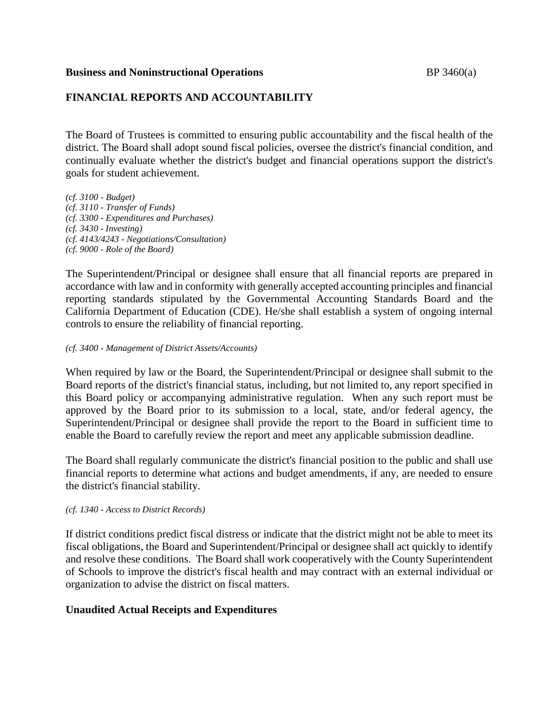### **Business and Noninstructional Operations BP** 3460(a)

# **FINANCIAL REPORTS AND ACCOUNTABILITY**

The Board of Trustees is committed to ensuring public accountability and the fiscal health of the district. The Board shall adopt sound fiscal policies, oversee the district's financial condition, and continually evaluate whether the district's budget and financial operations support the district's goals for student achievement.

*(cf. 3100 - Budget) (cf. 3110 - Transfer of Funds) (cf. 3300 - Expenditures and Purchases) (cf. 3430 - Investing) (cf. 4143/4243 - Negotiations/Consultation) (cf. 9000 - Role of the Board)*

The Superintendent/Principal or designee shall ensure that all financial reports are prepared in accordance with law and in conformity with generally accepted accounting principles and financial reporting standards stipulated by the Governmental Accounting Standards Board and the California Department of Education (CDE). He/she shall establish a system of ongoing internal controls to ensure the reliability of financial reporting.

### *(cf. 3400 - Management of District Assets/Accounts)*

When required by law or the Board, the Superintendent/Principal or designee shall submit to the Board reports of the district's financial status, including, but not limited to, any report specified in this Board policy or accompanying administrative regulation. When any such report must be approved by the Board prior to its submission to a local, state, and/or federal agency, the Superintendent/Principal or designee shall provide the report to the Board in sufficient time to enable the Board to carefully review the report and meet any applicable submission deadline.

The Board shall regularly communicate the district's financial position to the public and shall use financial reports to determine what actions and budget amendments, if any, are needed to ensure the district's financial stability.

### *(cf. 1340 - Access to District Records)*

If district conditions predict fiscal distress or indicate that the district might not be able to meet its fiscal obligations, the Board and Superintendent/Principal or designee shall act quickly to identify and resolve these conditions. The Board shall work cooperatively with the County Superintendent of Schools to improve the district's fiscal health and may contract with an external individual or organization to advise the district on fiscal matters.

## **Unaudited Actual Receipts and Expenditures**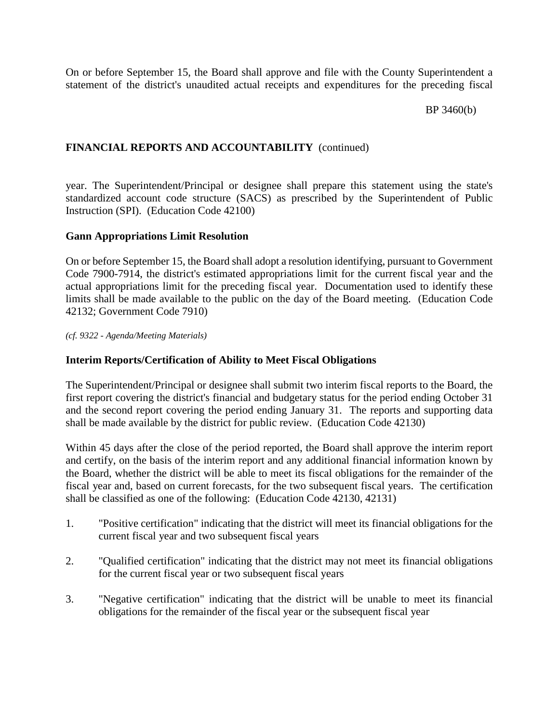On or before September 15, the Board shall approve and file with the County Superintendent a statement of the district's unaudited actual receipts and expenditures for the preceding fiscal

## BP 3460(b)

# **FINANCIAL REPORTS AND ACCOUNTABILITY** (continued)

year. The Superintendent/Principal or designee shall prepare this statement using the state's standardized account code structure (SACS) as prescribed by the Superintendent of Public Instruction (SPI). (Education Code 42100)

## **Gann Appropriations Limit Resolution**

On or before September 15, the Board shall adopt a resolution identifying, pursuant to Government Code 7900-7914, the district's estimated appropriations limit for the current fiscal year and the actual appropriations limit for the preceding fiscal year. Documentation used to identify these limits shall be made available to the public on the day of the Board meeting. (Education Code 42132; Government Code 7910)

*(cf. 9322 - Agenda/Meeting Materials)*

### **Interim Reports/Certification of Ability to Meet Fiscal Obligations**

The Superintendent/Principal or designee shall submit two interim fiscal reports to the Board, the first report covering the district's financial and budgetary status for the period ending October 31 and the second report covering the period ending January 31. The reports and supporting data shall be made available by the district for public review. (Education Code 42130)

Within 45 days after the close of the period reported, the Board shall approve the interim report and certify, on the basis of the interim report and any additional financial information known by the Board, whether the district will be able to meet its fiscal obligations for the remainder of the fiscal year and, based on current forecasts, for the two subsequent fiscal years. The certification shall be classified as one of the following: (Education Code 42130, 42131)

- 1. "Positive certification" indicating that the district will meet its financial obligations for the current fiscal year and two subsequent fiscal years
- 2. "Qualified certification" indicating that the district may not meet its financial obligations for the current fiscal year or two subsequent fiscal years
- 3. "Negative certification" indicating that the district will be unable to meet its financial obligations for the remainder of the fiscal year or the subsequent fiscal year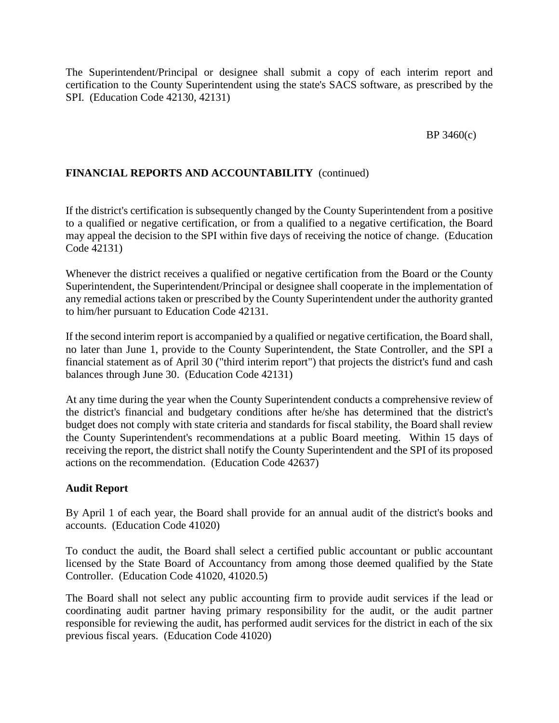The Superintendent/Principal or designee shall submit a copy of each interim report and certification to the County Superintendent using the state's SACS software, as prescribed by the SPI. (Education Code 42130, 42131)

# BP 3460(c)

# **FINANCIAL REPORTS AND ACCOUNTABILITY** (continued)

If the district's certification is subsequently changed by the County Superintendent from a positive to a qualified or negative certification, or from a qualified to a negative certification, the Board may appeal the decision to the SPI within five days of receiving the notice of change. (Education Code 42131)

Whenever the district receives a qualified or negative certification from the Board or the County Superintendent, the Superintendent/Principal or designee shall cooperate in the implementation of any remedial actions taken or prescribed by the County Superintendent under the authority granted to him/her pursuant to Education Code 42131.

If the second interim report is accompanied by a qualified or negative certification, the Board shall, no later than June 1, provide to the County Superintendent, the State Controller, and the SPI a financial statement as of April 30 ("third interim report") that projects the district's fund and cash balances through June 30. (Education Code 42131)

At any time during the year when the County Superintendent conducts a comprehensive review of the district's financial and budgetary conditions after he/she has determined that the district's budget does not comply with state criteria and standards for fiscal stability, the Board shall review the County Superintendent's recommendations at a public Board meeting. Within 15 days of receiving the report, the district shall notify the County Superintendent and the SPI of its proposed actions on the recommendation. (Education Code 42637)

## **Audit Report**

By April 1 of each year, the Board shall provide for an annual audit of the district's books and accounts. (Education Code 41020)

To conduct the audit, the Board shall select a certified public accountant or public accountant licensed by the State Board of Accountancy from among those deemed qualified by the State Controller. (Education Code 41020, 41020.5)

The Board shall not select any public accounting firm to provide audit services if the lead or coordinating audit partner having primary responsibility for the audit, or the audit partner responsible for reviewing the audit, has performed audit services for the district in each of the six previous fiscal years. (Education Code 41020)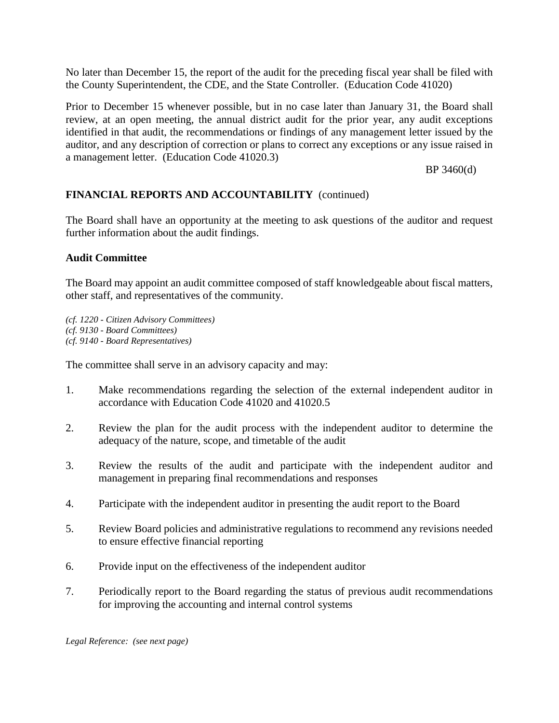No later than December 15, the report of the audit for the preceding fiscal year shall be filed with the County Superintendent, the CDE, and the State Controller. (Education Code 41020)

Prior to December 15 whenever possible, but in no case later than January 31, the Board shall review, at an open meeting, the annual district audit for the prior year, any audit exceptions identified in that audit, the recommendations or findings of any management letter issued by the auditor, and any description of correction or plans to correct any exceptions or any issue raised in a management letter. (Education Code 41020.3)

### BP 3460(d)

# **FINANCIAL REPORTS AND ACCOUNTABILITY** (continued)

The Board shall have an opportunity at the meeting to ask questions of the auditor and request further information about the audit findings.

## **Audit Committee**

The Board may appoint an audit committee composed of staff knowledgeable about fiscal matters, other staff, and representatives of the community.

*(cf. 1220 - Citizen Advisory Committees) (cf. 9130 - Board Committees) (cf. 9140 - Board Representatives)*

The committee shall serve in an advisory capacity and may:

- 1. Make recommendations regarding the selection of the external independent auditor in accordance with Education Code 41020 and 41020.5
- 2. Review the plan for the audit process with the independent auditor to determine the adequacy of the nature, scope, and timetable of the audit
- 3. Review the results of the audit and participate with the independent auditor and management in preparing final recommendations and responses
- 4. Participate with the independent auditor in presenting the audit report to the Board
- 5. Review Board policies and administrative regulations to recommend any revisions needed to ensure effective financial reporting
- 6. Provide input on the effectiveness of the independent auditor
- 7. Periodically report to the Board regarding the status of previous audit recommendations for improving the accounting and internal control systems

*Legal Reference: (see next page)*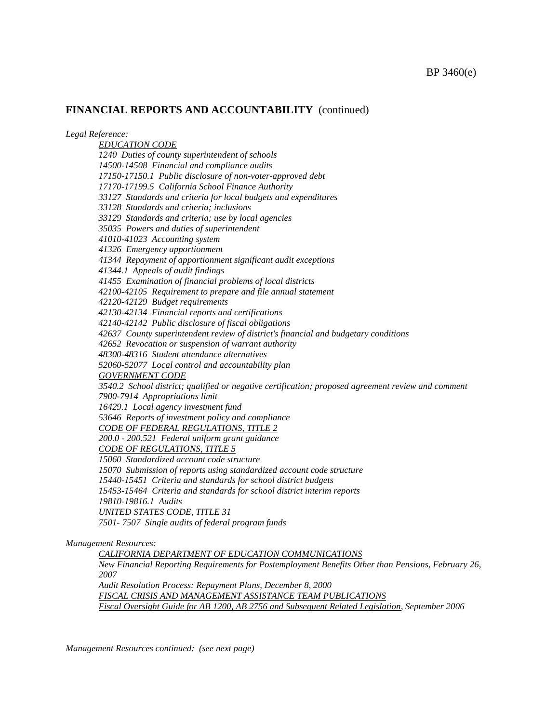*Legal Reference:*

*EDUCATION CODE 1240 Duties of county superintendent of schools 14500-14508 Financial and compliance audits 17150-17150.1 Public disclosure of non-voter-approved debt 17170-17199.5 California School Finance Authority 33127 Standards and criteria for local budgets and expenditures 33128 Standards and criteria; inclusions 33129 Standards and criteria; use by local agencies 35035 Powers and duties of superintendent 41010-41023 Accounting system 41326 Emergency apportionment 41344 Repayment of apportionment significant audit exceptions 41344.1 Appeals of audit findings 41455 Examination of financial problems of local districts 42100-42105 Requirement to prepare and file annual statement 42120-42129 Budget requirements 42130-42134 Financial reports and certifications 42140-42142 Public disclosure of fiscal obligations 42637 County superintendent review of district's financial and budgetary conditions 42652 Revocation or suspension of warrant authority 48300-48316 Student attendance alternatives 52060-52077 Local control and accountability plan GOVERNMENT CODE 3540.2 School district; qualified or negative certification; proposed agreement review and comment 7900-7914 Appropriations limit 16429.1 Local agency investment fund 53646 Reports of investment policy and compliance CODE OF FEDERAL REGULATIONS, TITLE 2 200.0 - 200.521 Federal uniform grant guidance CODE OF REGULATIONS, TITLE 5 15060 Standardized account code structure 15070 Submission of reports using standardized account code structure 15440-15451 Criteria and standards for school district budgets 15453-15464 Criteria and standards for school district interim reports 19810-19816.1 Audits UNITED STATES CODE, TITLE 31 7501- 7507 Single audits of federal program funds*

*Management Resources:*

*CALIFORNIA DEPARTMENT OF EDUCATION COMMUNICATIONS New Financial Reporting Requirements for Postemployment Benefits Other than Pensions, February 26, 2007 Audit Resolution Process: Repayment Plans, December 8, 2000 FISCAL CRISIS AND MANAGEMENT ASSISTANCE TEAM PUBLICATIONS Fiscal Oversight Guide for AB 1200, AB 2756 and Subsequent Related Legislation, September 2006*

*Management Resources continued: (see next page)*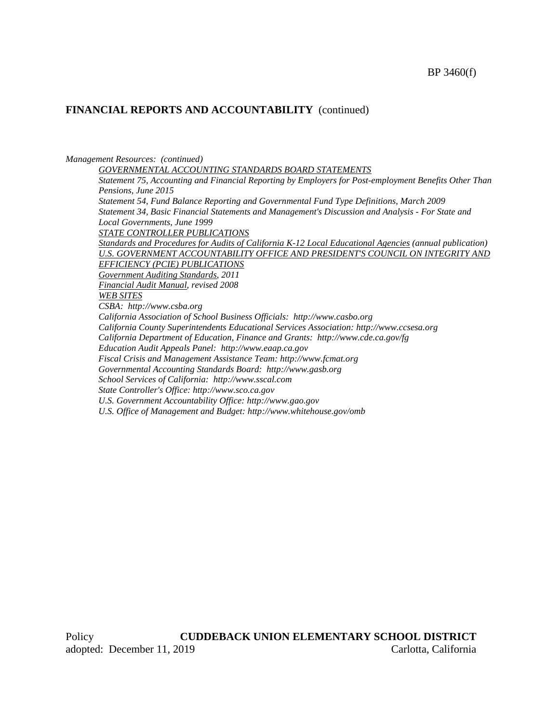#### *Management Resources: (continued)*

*GOVERNMENTAL ACCOUNTING STANDARDS BOARD STATEMENTS*

*Statement 75, Accounting and Financial Reporting by Employers for Post-employment Benefits Other Than Pensions, June 2015 Statement 54, Fund Balance Reporting and Governmental Fund Type Definitions, March 2009 Statement 34, Basic Financial Statements and Management's Discussion and Analysis - For State and Local Governments, June 1999 STATE CONTROLLER PUBLICATIONS Standards and Procedures for Audits of California K-12 Local Educational Agencies (annual publication) U.S. GOVERNMENT ACCOUNTABILITY OFFICE AND PRESIDENT'S COUNCIL ON INTEGRITY AND EFFICIENCY (PCIE) PUBLICATIONS Government Auditing Standards, 2011 Financial Audit Manual, revised 2008 WEB SITES CSBA: http://www.csba.org California Association of School Business Officials: http://www.casbo.org California County Superintendents Educational Services Association: http://www.ccsesa.org California Department of Education, Finance and Grants: http://www.cde.ca.gov/fg Education Audit Appeals Panel: http://www.eaap.ca.gov Fiscal Crisis and Management Assistance Team: http://www.fcmat.org Governmental Accounting Standards Board: http://www.gasb.org School Services of California: http://www.sscal.com State Controller's Office: http://www.sco.ca.gov U.S. Government Accountability Office: http://www.gao.gov*

*U.S. Office of Management and Budget: http://www.whitehouse.gov/omb*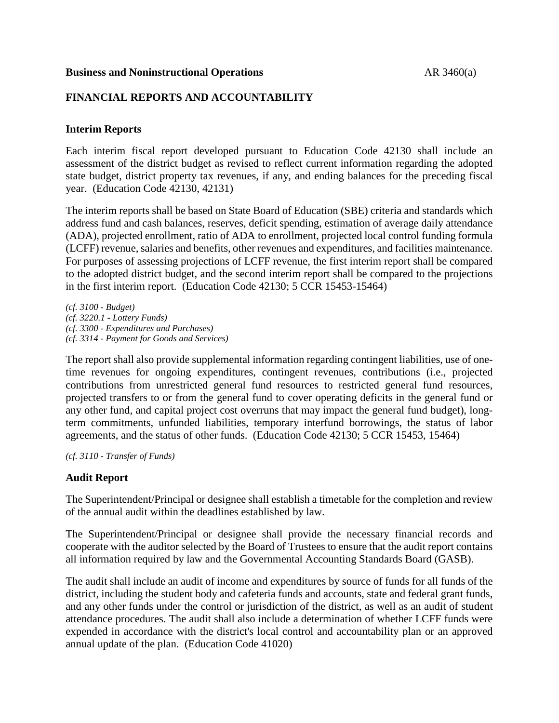### **Business and Noninstructional Operations** AR 3460(a)

# **FINANCIAL REPORTS AND ACCOUNTABILITY**

## **Interim Reports**

Each interim fiscal report developed pursuant to Education Code 42130 shall include an assessment of the district budget as revised to reflect current information regarding the adopted state budget, district property tax revenues, if any, and ending balances for the preceding fiscal year. (Education Code 42130, 42131)

The interim reports shall be based on State Board of Education (SBE) criteria and standards which address fund and cash balances, reserves, deficit spending, estimation of average daily attendance (ADA), projected enrollment, ratio of ADA to enrollment, projected local control funding formula (LCFF) revenue, salaries and benefits, other revenues and expenditures, and facilities maintenance. For purposes of assessing projections of LCFF revenue, the first interim report shall be compared to the adopted district budget, and the second interim report shall be compared to the projections in the first interim report. (Education Code 42130; 5 CCR 15453-15464)

*(cf. 3100 - Budget) (cf. 3220.1 - Lottery Funds) (cf. 3300 - Expenditures and Purchases) (cf. 3314 - Payment for Goods and Services)*

The report shall also provide supplemental information regarding contingent liabilities, use of onetime revenues for ongoing expenditures, contingent revenues, contributions (i.e., projected contributions from unrestricted general fund resources to restricted general fund resources, projected transfers to or from the general fund to cover operating deficits in the general fund or any other fund, and capital project cost overruns that may impact the general fund budget), longterm commitments, unfunded liabilities, temporary interfund borrowings, the status of labor agreements, and the status of other funds. (Education Code 42130; 5 CCR 15453, 15464)

*(cf. 3110 - Transfer of Funds)*

## **Audit Report**

The Superintendent/Principal or designee shall establish a timetable for the completion and review of the annual audit within the deadlines established by law.

The Superintendent/Principal or designee shall provide the necessary financial records and cooperate with the auditor selected by the Board of Trustees to ensure that the audit report contains all information required by law and the Governmental Accounting Standards Board (GASB).

The audit shall include an audit of income and expenditures by source of funds for all funds of the district, including the student body and cafeteria funds and accounts, state and federal grant funds, and any other funds under the control or jurisdiction of the district, as well as an audit of student attendance procedures. The audit shall also include a determination of whether LCFF funds were expended in accordance with the district's local control and accountability plan or an approved annual update of the plan. (Education Code 41020)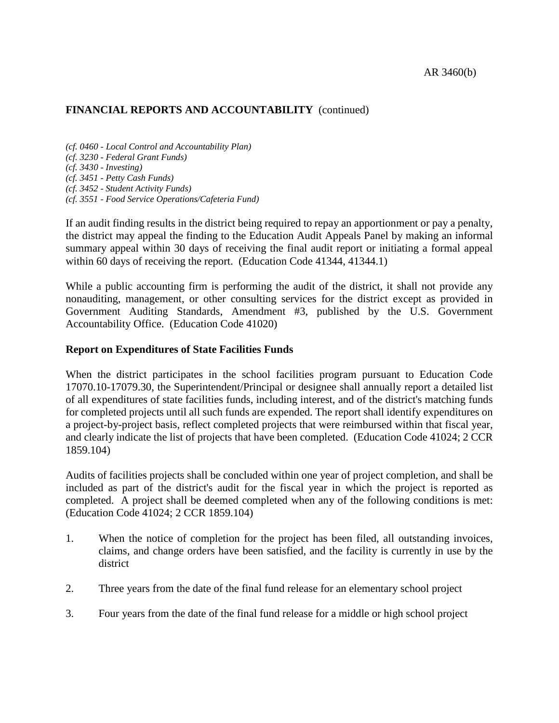*(cf. 0460 - Local Control and Accountability Plan) (cf. 3230 - Federal Grant Funds) (cf. 3430 - Investing) (cf. 3451 - Petty Cash Funds) (cf. 3452 - Student Activity Funds) (cf. 3551 - Food Service Operations/Cafeteria Fund)*

If an audit finding results in the district being required to repay an apportionment or pay a penalty, the district may appeal the finding to the Education Audit Appeals Panel by making an informal summary appeal within 30 days of receiving the final audit report or initiating a formal appeal within 60 days of receiving the report. (Education Code 41344, 41344.1)

While a public accounting firm is performing the audit of the district, it shall not provide any nonauditing, management, or other consulting services for the district except as provided in Government Auditing Standards, Amendment #3, published by the U.S. Government Accountability Office. (Education Code 41020)

## **Report on Expenditures of State Facilities Funds**

When the district participates in the school facilities program pursuant to Education Code 17070.10-17079.30, the Superintendent/Principal or designee shall annually report a detailed list of all expenditures of state facilities funds, including interest, and of the district's matching funds for completed projects until all such funds are expended. The report shall identify expenditures on a project-by-project basis, reflect completed projects that were reimbursed within that fiscal year, and clearly indicate the list of projects that have been completed. (Education Code 41024; 2 CCR 1859.104)

Audits of facilities projects shall be concluded within one year of project completion, and shall be included as part of the district's audit for the fiscal year in which the project is reported as completed. A project shall be deemed completed when any of the following conditions is met: (Education Code 41024; 2 CCR 1859.104)

- 1. When the notice of completion for the project has been filed, all outstanding invoices, claims, and change orders have been satisfied, and the facility is currently in use by the district
- 2. Three years from the date of the final fund release for an elementary school project
- 3. Four years from the date of the final fund release for a middle or high school project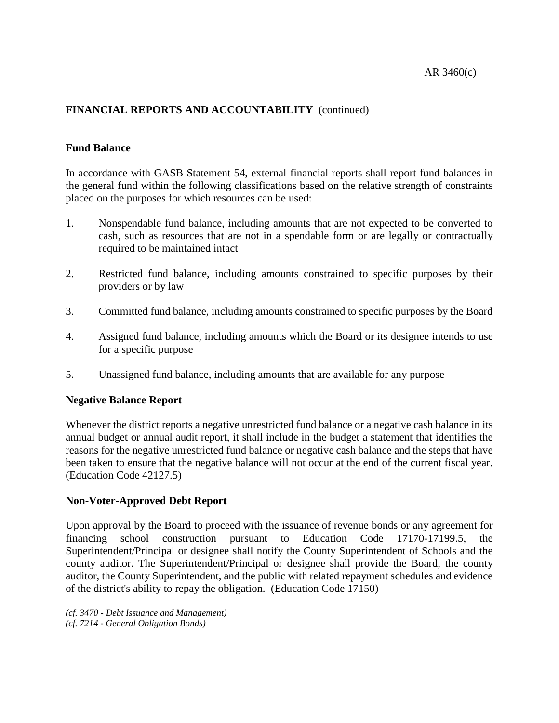# **Fund Balance**

In accordance with GASB Statement 54, external financial reports shall report fund balances in the general fund within the following classifications based on the relative strength of constraints placed on the purposes for which resources can be used:

- 1. Nonspendable fund balance, including amounts that are not expected to be converted to cash, such as resources that are not in a spendable form or are legally or contractually required to be maintained intact
- 2. Restricted fund balance, including amounts constrained to specific purposes by their providers or by law
- 3. Committed fund balance, including amounts constrained to specific purposes by the Board
- 4. Assigned fund balance, including amounts which the Board or its designee intends to use for a specific purpose
- 5. Unassigned fund balance, including amounts that are available for any purpose

## **Negative Balance Report**

Whenever the district reports a negative unrestricted fund balance or a negative cash balance in its annual budget or annual audit report, it shall include in the budget a statement that identifies the reasons for the negative unrestricted fund balance or negative cash balance and the steps that have been taken to ensure that the negative balance will not occur at the end of the current fiscal year. (Education Code 42127.5)

## **Non-Voter-Approved Debt Report**

Upon approval by the Board to proceed with the issuance of revenue bonds or any agreement for financing school construction pursuant to Education Code 17170-17199.5, the Superintendent/Principal or designee shall notify the County Superintendent of Schools and the county auditor. The Superintendent/Principal or designee shall provide the Board, the county auditor, the County Superintendent, and the public with related repayment schedules and evidence of the district's ability to repay the obligation. (Education Code 17150)

*(cf. 3470 - Debt Issuance and Management) (cf. 7214 - General Obligation Bonds)*